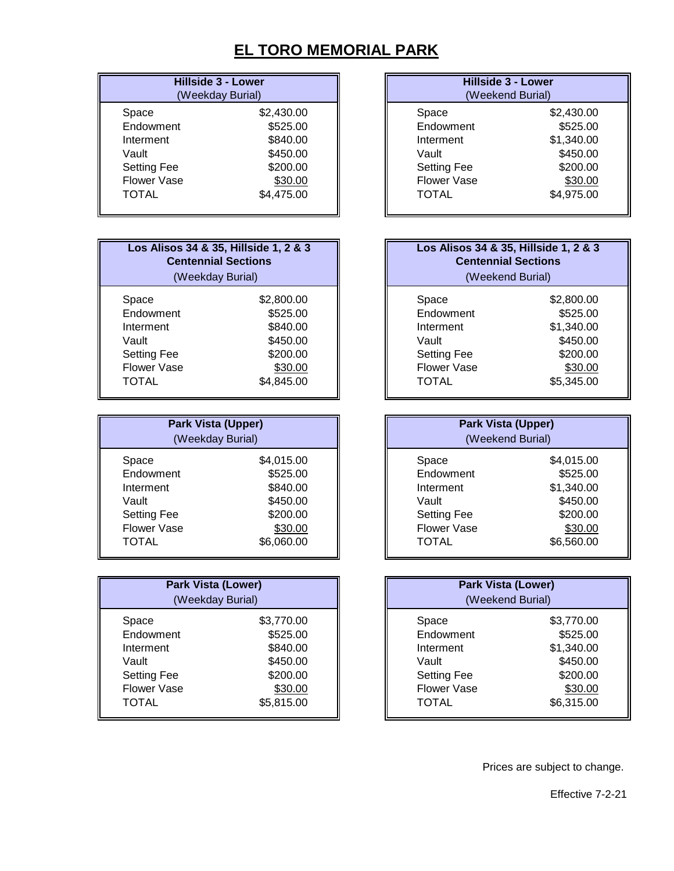## **EL TORO MEMORIAL PARK**

| <b>Hillside 3 - Lower</b><br>(Weekday Burial) | <b>Hillside 3 - Lower</b><br>(Weekend Burial) |            |
|-----------------------------------------------|-----------------------------------------------|------------|
| \$2,430.00                                    | Space                                         | \$2,430.00 |
| \$525.00                                      | Endowment                                     | \$525.00   |
| \$840.00                                      | Interment                                     | \$1,340.00 |
| \$450.00                                      | Vault                                         | \$450.00   |
| \$200.00                                      | <b>Setting Fee</b>                            | \$200.00   |
| \$30.00                                       | <b>Flower Vase</b>                            | \$30.00    |
| \$4,475.00                                    | <b>TOTAL</b>                                  | \$4,975.00 |
|                                               |                                               |            |

| <b>Hillside 3 - Lower</b><br>(Weekend Burial)                                         |  |  |
|---------------------------------------------------------------------------------------|--|--|
| \$2,430.00<br>\$525.00<br>\$1,340.00<br>\$450.00<br>\$200.00<br>\$30.00<br>\$4,975.00 |  |  |
|                                                                                       |  |  |

| Los Alisos 34 & 35, Hillside 1, 2 & 3<br><b>Centennial Sections</b><br>(Weekday Burial) |            | Los Alisos 34 & 35, Hillside 1, 2 & 3<br><b>Centennial Sections</b><br>(Weekend Burial) |            |
|-----------------------------------------------------------------------------------------|------------|-----------------------------------------------------------------------------------------|------------|
| Space                                                                                   | \$2,800.00 | Space                                                                                   | \$2,800.00 |
| Endowment                                                                               | \$525.00   | Endowment                                                                               | \$525.00   |
| Interment                                                                               | \$840.00   | Interment                                                                               | \$1,340.00 |
| Vault                                                                                   | \$450.00   | Vault                                                                                   | \$450.00   |
| <b>Setting Fee</b>                                                                      | \$200.00   | <b>Setting Fee</b>                                                                      | \$200.00   |
| <b>Flower Vase</b>                                                                      | \$30.00    | <b>Flower Vase</b>                                                                      | \$30.00    |
| TOTAL                                                                                   | \$4,845.00 | <b>TOTAL</b>                                                                            | \$5,345.00 |

| <b>Park Vista (Upper)</b><br>(Weekday Burial) |            |                    | <b>Park Vista (Upper)</b><br>(Weekend Burial) |
|-----------------------------------------------|------------|--------------------|-----------------------------------------------|
| Space                                         | \$4,015.00 | Space              | \$4,015.00                                    |
| Endowment                                     | \$525.00   | Endowment          | \$525.00                                      |
| Interment                                     | \$840.00   | Interment          | \$1,340.00                                    |
| Vault                                         | \$450.00   | Vault              | \$450.00                                      |
| <b>Setting Fee</b>                            | \$200.00   | <b>Setting Fee</b> | \$200.00                                      |
| <b>Flower Vase</b>                            | \$30.00    | <b>Flower Vase</b> | \$30.00                                       |
| <b>TOTAL</b>                                  | \$6,060.00 | <b>TOTAL</b>       | \$6,560.00                                    |

| <b>Park Vista (Lower)</b><br>(Weekday Burial) |            | <b>Park Vista (Lower)</b> | (Weekend Burial) |
|-----------------------------------------------|------------|---------------------------|------------------|
| Space                                         | \$3,770.00 | Space                     | \$3,770.00       |
| Endowment                                     | \$525.00   | Endowment                 | \$525.00         |
| Interment                                     | \$840.00   | Interment                 | \$1,340.00       |
| Vault                                         | \$450.00   | Vault                     | \$450.00         |
| <b>Setting Fee</b>                            | \$200.00   | <b>Setting Fee</b>        | \$200.00         |
| <b>Flower Vase</b>                            | \$30.00    | <b>Flower Vase</b>        | \$30.00          |
| <b>TOTAL</b>                                  | \$5,815.00 | <b>TOTAL</b>              | \$6,315.00       |

| Los Alisos 34 & 35, Hillside 1, 2 & 3<br><b>Centennial Sections</b><br>(Weekend Burial) |            |  |
|-----------------------------------------------------------------------------------------|------------|--|
| Space                                                                                   | \$2,800.00 |  |
| Endowment                                                                               | \$525.00   |  |
| Interment                                                                               | \$1,340.00 |  |
| Vault                                                                                   | \$450.00   |  |
| <b>Setting Fee</b>                                                                      | \$200.00   |  |
| <b>Flower Vase</b>                                                                      | \$30.00    |  |
| <b>TOTAL</b>                                                                            | \$5,345.00 |  |

| <b>Park Vista (Upper)</b><br>(Weekend Burial) |            |  |
|-----------------------------------------------|------------|--|
| Space                                         | \$4,015.00 |  |
| Endowment                                     | \$525.00   |  |
| Interment                                     | \$1,340.00 |  |
| Vault                                         | \$450.00   |  |
| <b>Setting Fee</b>                            | \$200.00   |  |
| <b>Flower Vase</b>                            | \$30.00    |  |
| <b>TOTAL</b>                                  | \$6,560.00 |  |

| <b>Park Vista (Lower)</b><br>(Weekend Burial) |            |  |
|-----------------------------------------------|------------|--|
| Space                                         | \$3,770.00 |  |
| Endowment                                     | \$525.00   |  |
| Interment                                     | \$1,340.00 |  |
| Vault                                         | \$450.00   |  |
| <b>Setting Fee</b>                            | \$200.00   |  |
| <b>Flower Vase</b>                            | \$30.00    |  |
| <b>TOTAL</b>                                  | \$6,315.00 |  |

Prices are subject to change.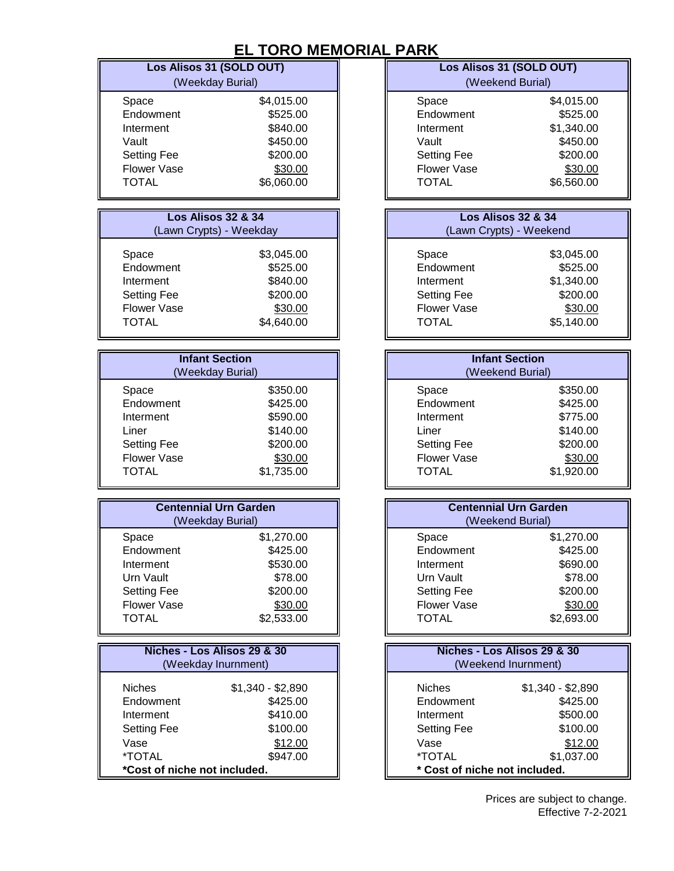## **EL TORO MEMORIAL**

|                                                  | Los Alisos 31 (SOLD OUT)      |                               | Los Alisos 31 (SOLD OUT)      |
|--------------------------------------------------|-------------------------------|-------------------------------|-------------------------------|
|                                                  | (Weekday Burial)              |                               | (Weekend Burial)              |
|                                                  |                               |                               |                               |
| Space                                            | \$4,015.00                    | Space                         | \$4,015.00                    |
| Endowment                                        | \$525.00                      | Endowment                     | \$525.00                      |
| Interment                                        | \$840.00                      | Interment                     | \$1,340.00                    |
| Vault                                            | \$450.00                      | Vault                         | \$450.00                      |
| <b>Setting Fee</b>                               | \$200.00                      | <b>Setting Fee</b>            | \$200.00                      |
| <b>Flower Vase</b>                               | \$30.00                       | <b>Flower Vase</b>            | \$30.00                       |
| <b>TOTAL</b>                                     | \$6,060.00                    | <b>TOTAL</b>                  | \$6,560.00                    |
|                                                  |                               |                               |                               |
|                                                  | <b>Los Alisos 32 &amp; 34</b> |                               | <b>Los Alisos 32 &amp; 34</b> |
|                                                  | (Lawn Crypts) - Weekday       |                               | (Lawn Crypts) - Weekend       |
|                                                  |                               |                               |                               |
| Space                                            | \$3,045.00                    | Space                         | \$3,045.00                    |
| Endowment                                        | \$525.00                      | Endowment                     | \$525.00                      |
| Interment                                        | \$840.00                      | Interment                     | \$1,340.00                    |
| <b>Setting Fee</b>                               | \$200.00                      | <b>Setting Fee</b>            | \$200.00                      |
| <b>Flower Vase</b>                               | \$30.00                       | <b>Flower Vase</b>            | \$30.00                       |
| <b>TOTAL</b>                                     | \$4,640.00                    | <b>TOTAL</b>                  | \$5,140.00                    |
|                                                  |                               |                               |                               |
|                                                  |                               |                               |                               |
|                                                  | <b>Infant Section</b>         |                               | <b>Infant Section</b>         |
|                                                  | (Weekday Burial)              |                               | (Weekend Burial)              |
| Space                                            | \$350.00                      | Space                         | \$350.00                      |
| Endowment                                        | \$425.00                      | Endowment                     | \$425.00                      |
| Interment                                        | \$590.00                      | Interment                     | \$775.00                      |
| Liner                                            | \$140.00                      | Liner                         | \$140.00                      |
| <b>Setting Fee</b>                               | \$200.00                      | <b>Setting Fee</b>            | \$200.00                      |
| <b>Flower Vase</b>                               | \$30.00                       | Flower Vase                   | \$30.00                       |
| <b>TOTAL</b>                                     | \$1,735.00                    | <b>TOTAL</b>                  | \$1,920.00                    |
|                                                  |                               |                               |                               |
|                                                  |                               |                               | <b>Centennial Urn Garden</b>  |
| <b>Centennial Urn Garden</b><br>(Weekday Burial) |                               |                               | (Weekend Burial)              |
| Space                                            | \$1,270.00                    | Space                         | \$1,270.00                    |
| Endowment                                        | \$425.00                      | Endowment                     | \$425.00                      |
|                                                  |                               |                               |                               |
| Interment                                        | \$530.00                      | Interment                     | \$690.00                      |
| Urn Vault                                        | \$78.00                       | Urn Vault                     | \$78.00                       |
| <b>Setting Fee</b>                               | \$200.00                      | <b>Setting Fee</b>            | \$200.00                      |
| <b>Flower Vase</b>                               | \$30.00                       | <b>Flower Vase</b>            | \$30.00                       |
| <b>TOTAL</b>                                     | \$2,533.00                    | <b>TOTAL</b>                  | \$2,693.00                    |
|                                                  |                               |                               |                               |
|                                                  | Niches - Los Alisos 29 & 30   |                               | Niches - Los Alisos 29 & 30   |
|                                                  | (Weekday Inurnment)           |                               | (Weekend Inurnment)           |
| <b>Niches</b>                                    | $$1,340 - $2,890$             | <b>Niches</b>                 | $$1,340 - $2,890$             |
| Endowment                                        | \$425.00                      | Endowment                     | \$425.00                      |
| Interment                                        | \$410.00                      | Interment                     | \$500.00                      |
| <b>Setting Fee</b>                               | \$100.00                      | <b>Setting Fee</b>            | \$100.00                      |
| Vase                                             | \$12.00                       | Vase                          | \$12.00                       |
| *TOTAL                                           | \$947.00                      | *TOTAL                        | \$1,037.00                    |
| *Cost of niche not included.                     |                               | * Cost of niche not included. |                               |
|                                                  |                               |                               |                               |

| <b>PARK</b>                   |            |  |
|-------------------------------|------------|--|
| Los Alisos 31 (SOLD OUT)      |            |  |
| (Weekend Burial)              |            |  |
| Space                         | \$4,015.00 |  |
| Endowment                     | \$525.00   |  |
| Interment                     | \$1,340.00 |  |
| Vault                         | \$450.00   |  |
| <b>Setting Fee</b>            | \$200.00   |  |
| <b>Flower Vase</b>            | \$30.00    |  |
| <b>TOTAL</b>                  | \$6,560.00 |  |
|                               |            |  |
| <b>Los Alisos 32 &amp; 34</b> |            |  |
| (Lawn Crypts) - Weekend       |            |  |
| Space                         | \$3,045.00 |  |
| Endowment                     | \$525.00   |  |
| Interment                     | \$1,340.00 |  |
| <b>Setting Fee</b>            | \$200.00   |  |
| <b>Flower Vase</b>            | \$30.00    |  |
| <b>TOTAL</b>                  | \$5,140.00 |  |
|                               |            |  |
| <b>Infant Section</b>         |            |  |
| (Weekend Burial)              |            |  |
| Space                         | \$350.00   |  |
| Endowment                     | \$425.00   |  |

| <b>Centennial Urn Garden</b><br>(Weekend Burial) |            |  |
|--------------------------------------------------|------------|--|
| Space                                            | \$1,270.00 |  |
| Endowment                                        | \$425.00   |  |
| Interment                                        | \$690.00   |  |
| Urn Vault                                        | \$78.00    |  |
| <b>Setting Fee</b>                               | \$200.00   |  |
| <b>Flower Vase</b>                               | \$30.00    |  |
| TOTAL                                            | \$2,693.00 |  |

| Niches - Los Alisos 29 & 30<br>(Weekend Inurnment) |                   |  |
|----------------------------------------------------|-------------------|--|
| <b>Niches</b>                                      | $$1,340 - $2,890$ |  |
| Endowment                                          | \$425.00          |  |
| Interment                                          | \$500.00          |  |
| <b>Setting Fee</b>                                 | \$100.00          |  |
| Vase                                               | \$12.00           |  |
| <i><b>*TOTAL</b></i>                               | \$1,037.00        |  |
| * Cost of niche not included.                      |                   |  |

Effective 7-2-2021 Prices are subject to change.